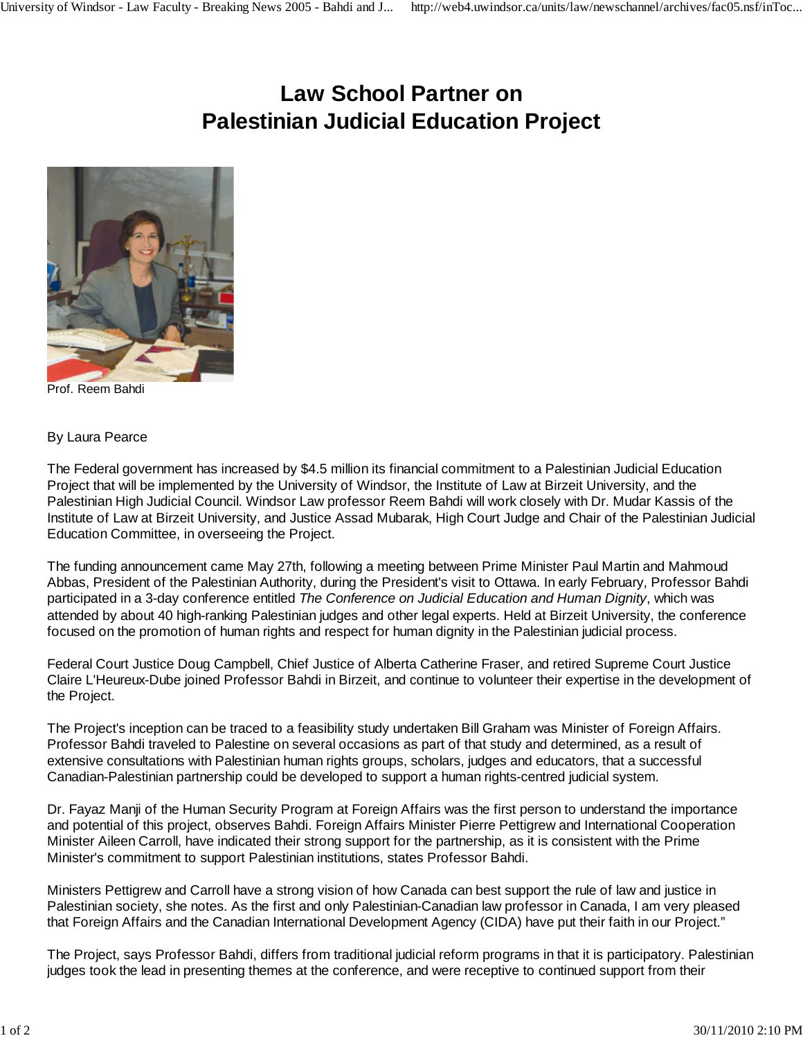## **Law School Partner on Palestinian Judicial Education Project**



Prof. Reem Bahdi

## By Laura Pearce

The Federal government has increased by \$4.5 million its financial commitment to a Palestinian Judicial Education Project that will be implemented by the University of Windsor, the Institute of Law at Birzeit University, and the Palestinian High Judicial Council. Windsor Law professor Reem Bahdi will work closely with Dr. Mudar Kassis of the Institute of Law at Birzeit University, and Justice Assad Mubarak, High Court Judge and Chair of the Palestinian Judicial Education Committee, in overseeing the Project.

The funding announcement came May 27th, following a meeting between Prime Minister Paul Martin and Mahmoud Abbas, President of the Palestinian Authority, during the President's visit to Ottawa. In early February, Professor Bahdi participated in a 3-day conference entitled *The Conference on Judicial Education and Human Dignity*, which was attended by about 40 high-ranking Palestinian judges and other legal experts. Held at Birzeit University, the conference focused on the promotion of human rights and respect for human dignity in the Palestinian judicial process.

Federal Court Justice Doug Campbell, Chief Justice of Alberta Catherine Fraser, and retired Supreme Court Justice Claire L'Heureux-Dube joined Professor Bahdi in Birzeit, and continue to volunteer their expertise in the development of the Project.

The Project's inception can be traced to a feasibility study undertaken Bill Graham was Minister of Foreign Affairs. Professor Bahdi traveled to Palestine on several occasions as part of that study and determined, as a result of extensive consultations with Palestinian human rights groups, scholars, judges and educators, that a successful Canadian-Palestinian partnership could be developed to support a human rights-centred judicial system.

Dr. Fayaz Manji of the Human Security Program at Foreign Affairs was the first person to understand the importance and potential of this project, observes Bahdi. Foreign Affairs Minister Pierre Pettigrew and International Cooperation Minister Aileen Carroll, have indicated their strong support for the partnership, as it is consistent with the Prime Minister's commitment to support Palestinian institutions, states Professor Bahdi.

Ministers Pettigrew and Carroll have a strong vision of how Canada can best support the rule of law and justice in Palestinian society, she notes. As the first and only Palestinian-Canadian law professor in Canada, I am very pleased that Foreign Affairs and the Canadian International Development Agency (CIDA) have put their faith in our Project."

The Project, says Professor Bahdi, differs from traditional judicial reform programs in that it is participatory. Palestinian judges took the lead in presenting themes at the conference, and were receptive to continued support from their